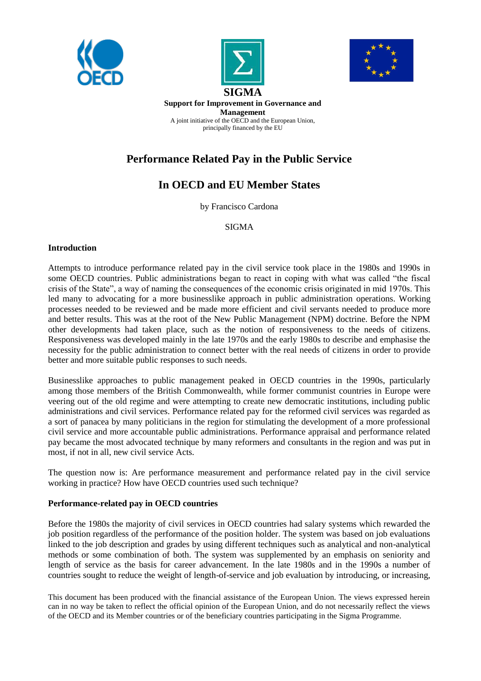





**SIGMA Support for Improvement in Governance and Management** A joint initiative of the OECD and the European Union, principally financed by the EU

# **Performance Related Pay in the Public Service**

# **In OECD and EU Member States**

by Francisco Cardona

SIGMA

## **Introduction**

Attempts to introduce performance related pay in the civil service took place in the 1980s and 1990s in some OECD countries. Public administrations began to react in coping with what was called "the fiscal crisis of the State", a way of naming the consequences of the economic crisis originated in mid 1970s. This led many to advocating for a more businesslike approach in public administration operations. Working processes needed to be reviewed and be made more efficient and civil servants needed to produce more and better results. This was at the root of the New Public Management (NPM) doctrine. Before the NPM other developments had taken place, such as the notion of responsiveness to the needs of citizens. Responsiveness was developed mainly in the late 1970s and the early 1980s to describe and emphasise the necessity for the public administration to connect better with the real needs of citizens in order to provide better and more suitable public responses to such needs.

Businesslike approaches to public management peaked in OECD countries in the 1990s, particularly among those members of the British Commonwealth, while former communist countries in Europe were veering out of the old regime and were attempting to create new democratic institutions, including public administrations and civil services. Performance related pay for the reformed civil services was regarded as a sort of panacea by many politicians in the region for stimulating the development of a more professional civil service and more accountable public administrations. Performance appraisal and performance related pay became the most advocated technique by many reformers and consultants in the region and was put in most, if not in all, new civil service Acts.

The question now is: Are performance measurement and performance related pay in the civil service working in practice? How have OECD countries used such technique?

## **Performance-related pay in OECD countries**

Before the 1980s the majority of civil services in OECD countries had salary systems which rewarded the job position regardless of the performance of the position holder. The system was based on job evaluations linked to the job description and grades by using different techniques such as analytical and non-analytical methods or some combination of both. The system was supplemented by an emphasis on seniority and length of service as the basis for career advancement. In the late 1980s and in the 1990s a number of countries sought to reduce the weight of length-of-service and job evaluation by introducing, or increasing,

This document has been produced with the financial assistance of the European Union. The views expressed herein can in no way be taken to reflect the official opinion of the European Union, and do not necessarily reflect the views of the OECD and its Member countries or of the beneficiary countries participating in the Sigma Programme.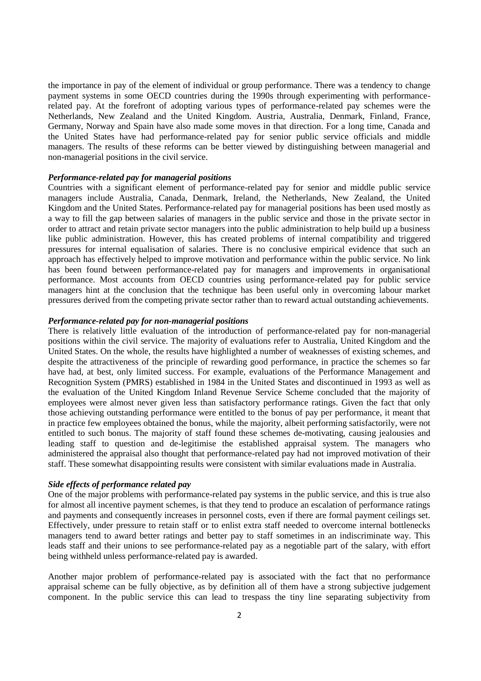the importance in pay of the element of individual or group performance. There was a tendency to change payment systems in some OECD countries during the 1990s through experimenting with performancerelated pay. At the forefront of adopting various types of performance-related pay schemes were the Netherlands, New Zealand and the United Kingdom. Austria, Australia, Denmark, Finland, France, Germany, Norway and Spain have also made some moves in that direction. For a long time, Canada and the United States have had performance-related pay for senior public service officials and middle managers. The results of these reforms can be better viewed by distinguishing between managerial and non-managerial positions in the civil service.

#### *Performance-related pay for managerial positions*

Countries with a significant element of performance-related pay for senior and middle public service managers include Australia, Canada, Denmark, Ireland, the Netherlands, New Zealand, the United Kingdom and the United States. Performance-related pay for managerial positions has been used mostly as a way to fill the gap between salaries of managers in the public service and those in the private sector in order to attract and retain private sector managers into the public administration to help build up a business like public administration. However, this has created problems of internal compatibility and triggered pressures for internal equalisation of salaries. There is no conclusive empirical evidence that such an approach has effectively helped to improve motivation and performance within the public service. No link has been found between performance-related pay for managers and improvements in organisational performance. Most accounts from OECD countries using performance-related pay for public service managers hint at the conclusion that the technique has been useful only in overcoming labour market pressures derived from the competing private sector rather than to reward actual outstanding achievements.

#### *Performance-related pay for non-managerial positions*

There is relatively little evaluation of the introduction of performance-related pay for non-managerial positions within the civil service. The majority of evaluations refer to Australia, United Kingdom and the United States. On the whole, the results have highlighted a number of weaknesses of existing schemes, and despite the attractiveness of the principle of rewarding good performance, in practice the schemes so far have had, at best, only limited success. For example, evaluations of the Performance Management and Recognition System (PMRS) established in 1984 in the United States and discontinued in 1993 as well as the evaluation of the United Kingdom Inland Revenue Service Scheme concluded that the majority of employees were almost never given less than satisfactory performance ratings. Given the fact that only those achieving outstanding performance were entitled to the bonus of pay per performance, it meant that in practice few employees obtained the bonus, while the majority, albeit performing satisfactorily, were not entitled to such bonus. The majority of staff found these schemes de-motivating, causing jealousies and leading staff to question and de-legitimise the established appraisal system. The managers who administered the appraisal also thought that performance-related pay had not improved motivation of their staff. These somewhat disappointing results were consistent with similar evaluations made in Australia.

### *Side effects of performance related pay*

One of the major problems with performance-related pay systems in the public service, and this is true also for almost all incentive payment schemes, is that they tend to produce an escalation of performance ratings and payments and consequently increases in personnel costs, even if there are formal payment ceilings set. Effectively, under pressure to retain staff or to enlist extra staff needed to overcome internal bottlenecks managers tend to award better ratings and better pay to staff sometimes in an indiscriminate way. This leads staff and their unions to see performance-related pay as a negotiable part of the salary, with effort being withheld unless performance-related pay is awarded.

Another major problem of performance-related pay is associated with the fact that no performance appraisal scheme can be fully objective, as by definition all of them have a strong subjective judgement component. In the public service this can lead to trespass the tiny line separating subjectivity from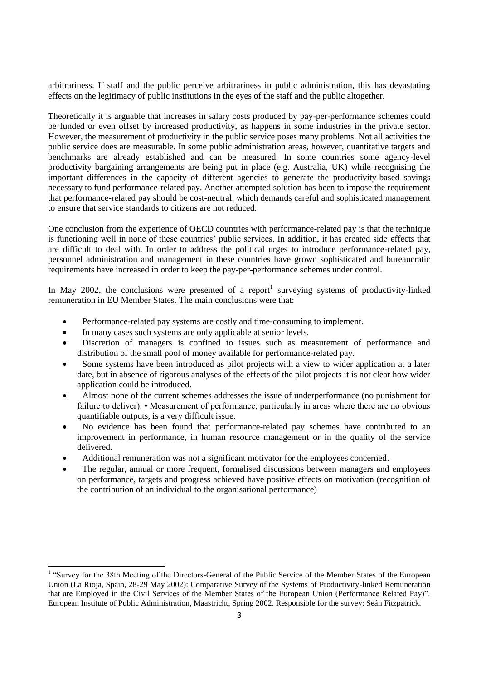arbitrariness. If staff and the public perceive arbitrariness in public administration, this has devastating effects on the legitimacy of public institutions in the eyes of the staff and the public altogether.

Theoretically it is arguable that increases in salary costs produced by pay-per-performance schemes could be funded or even offset by increased productivity, as happens in some industries in the private sector. However, the measurement of productivity in the public service poses many problems. Not all activities the public service does are measurable. In some public administration areas, however, quantitative targets and benchmarks are already established and can be measured. In some countries some agency-level productivity bargaining arrangements are being put in place (e.g. Australia, UK) while recognising the important differences in the capacity of different agencies to generate the productivity-based savings necessary to fund performance-related pay. Another attempted solution has been to impose the requirement that performance-related pay should be cost-neutral, which demands careful and sophisticated management to ensure that service standards to citizens are not reduced.

One conclusion from the experience of OECD countries with performance-related pay is that the technique is functioning well in none of these countries" public services. In addition, it has created side effects that are difficult to deal with. In order to address the political urges to introduce performance-related pay, personnel administration and management in these countries have grown sophisticated and bureaucratic requirements have increased in order to keep the pay-per-performance schemes under control.

In May 2002, the conclusions were presented of a report<sup>1</sup> surveying systems of productivity-linked remuneration in EU Member States. The main conclusions were that:

- Performance-related pay systems are costly and time-consuming to implement.
- In many cases such systems are only applicable at senior levels.

 $\overline{a}$ 

- Discretion of managers is confined to issues such as measurement of performance and distribution of the small pool of money available for performance-related pay.
- Some systems have been introduced as pilot projects with a view to wider application at a later date, but in absence of rigorous analyses of the effects of the pilot projects it is not clear how wider application could be introduced.
- Almost none of the current schemes addresses the issue of underperformance (no punishment for failure to deliver). • Measurement of performance, particularly in areas where there are no obvious quantifiable outputs, is a very difficult issue.
- No evidence has been found that performance-related pay schemes have contributed to an improvement in performance, in human resource management or in the quality of the service delivered.
- Additional remuneration was not a significant motivator for the employees concerned.
- The regular, annual or more frequent, formalised discussions between managers and employees on performance, targets and progress achieved have positive effects on motivation (recognition of the contribution of an individual to the organisational performance)

<sup>&</sup>lt;sup>1</sup> "Survey for the 38th Meeting of the Directors-General of the Public Service of the Member States of the European Union (La Rioja, Spain, 28-29 May 2002): Comparative Survey of the Systems of Productivity-linked Remuneration that are Employed in the Civil Services of the Member States of the European Union (Performance Related Pay)". European Institute of Public Administration, Maastricht, Spring 2002. Responsible for the survey: Seán Fitzpatrick.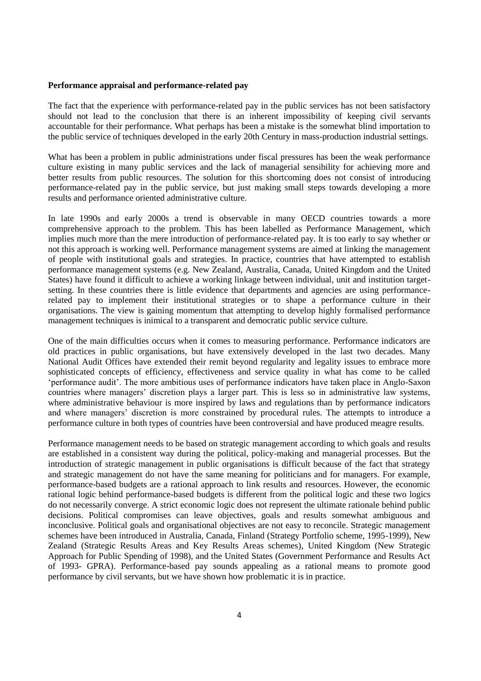#### **Performance appraisal and performance-related pay**

The fact that the experience with performance-related pay in the public services has not been satisfactory should not lead to the conclusion that there is an inherent impossibility of keeping civil servants accountable for their performance. What perhaps has been a mistake is the somewhat blind importation to the public service of techniques developed in the early 20th Century in mass-production industrial settings.

What has been a problem in public administrations under fiscal pressures has been the weak performance culture existing in many public services and the lack of managerial sensibility for achieving more and better results from public resources. The solution for this shortcoming does not consist of introducing performance-related pay in the public service, but just making small steps towards developing a more results and performance oriented administrative culture.

In late 1990s and early 2000s a trend is observable in many OECD countries towards a more comprehensive approach to the problem. This has been labelled as Performance Management, which implies much more than the mere introduction of performance-related pay. It is too early to say whether or not this approach is working well. Performance management systems are aimed at linking the management of people with institutional goals and strategies. In practice, countries that have attempted to establish performance management systems (e.g. New Zealand, Australia, Canada, United Kingdom and the United States) have found it difficult to achieve a working linkage between individual, unit and institution targetsetting. In these countries there is little evidence that departments and agencies are using performancerelated pay to implement their institutional strategies or to shape a performance culture in their organisations. The view is gaining momentum that attempting to develop highly formalised performance management techniques is inimical to a transparent and democratic public service culture.

One of the main difficulties occurs when it comes to measuring performance. Performance indicators are old practices in public organisations, but have extensively developed in the last two decades. Many National Audit Offices have extended their remit beyond regularity and legality issues to embrace more sophisticated concepts of efficiency, effectiveness and service quality in what has come to be called "performance audit". The more ambitious uses of performance indicators have taken place in Anglo-Saxon countries where managers" discretion plays a larger part. This is less so in administrative law systems, where administrative behaviour is more inspired by laws and regulations than by performance indicators and where managers" discretion is more constrained by procedural rules. The attempts to introduce a performance culture in both types of countries have been controversial and have produced meagre results.

Performance management needs to be based on strategic management according to which goals and results are established in a consistent way during the political, policy-making and managerial processes. But the introduction of strategic management in public organisations is difficult because of the fact that strategy and strategic management do not have the same meaning for politicians and for managers. For example, performance-based budgets are a rational approach to link results and resources. However, the economic rational logic behind performance-based budgets is different from the political logic and these two logics do not necessarily converge. A strict economic logic does not represent the ultimate rationale behind public decisions. Political compromises can leave objectives, goals and results somewhat ambiguous and inconclusive. Political goals and organisational objectives are not easy to reconcile. Strategic management schemes have been introduced in Australia, Canada, Finland (Strategy Portfolio scheme, 1995-1999), New Zealand (Strategic Results Areas and Key Results Areas schemes), United Kingdom (New Strategic Approach for Public Spending of 1998), and the United States (Government Performance and Results Act of 1993- GPRA). Performance-based pay sounds appealing as a rational means to promote good performance by civil servants, but we have shown how problematic it is in practice.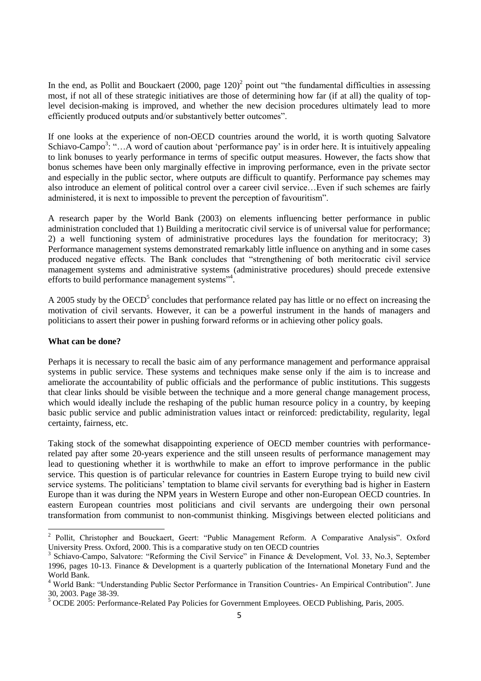In the end, as Pollit and Bouckaert  $(2000, \text{ page } 120)^2$  point out "the fundamental difficulties in assessing most, if not all of these strategic initiatives are those of determining how far (if at all) the quality of toplevel decision-making is improved, and whether the new decision procedures ultimately lead to more efficiently produced outputs and/or substantively better outcomes".

If one looks at the experience of non-OECD countries around the world, it is worth quoting Salvatore Schiavo-Campo<sup>3</sup>: "...A word of caution about 'performance pay' is in order here. It is intuitively appealing to link bonuses to yearly performance in terms of specific output measures. However, the facts show that bonus schemes have been only marginally effective in improving performance, even in the private sector and especially in the public sector, where outputs are difficult to quantify. Performance pay schemes may also introduce an element of political control over a career civil service…Even if such schemes are fairly administered, it is next to impossible to prevent the perception of favouritism".

A research paper by the World Bank (2003) on elements influencing better performance in public administration concluded that 1) Building a meritocratic civil service is of universal value for performance; 2) a well functioning system of administrative procedures lays the foundation for meritocracy; 3) Performance management systems demonstrated remarkably little influence on anything and in some cases produced negative effects. The Bank concludes that "strengthening of both meritocratic civil service management systems and administrative systems (administrative procedures) should precede extensive efforts to build performance management systems"<sup>4</sup>.

A 2005 study by the OECD<sup>5</sup> concludes that performance related pay has little or no effect on increasing the motivation of civil servants. However, it can be a powerful instrument in the hands of managers and politicians to assert their power in pushing forward reforms or in achieving other policy goals.

### **What can be done?**

Perhaps it is necessary to recall the basic aim of any performance management and performance appraisal systems in public service. These systems and techniques make sense only if the aim is to increase and ameliorate the accountability of public officials and the performance of public institutions. This suggests that clear links should be visible between the technique and a more general change management process, which would ideally include the reshaping of the public human resource policy in a country, by keeping basic public service and public administration values intact or reinforced: predictability, regularity, legal certainty, fairness, etc.

Taking stock of the somewhat disappointing experience of OECD member countries with performancerelated pay after some 20-years experience and the still unseen results of performance management may lead to questioning whether it is worthwhile to make an effort to improve performance in the public service. This question is of particular relevance for countries in Eastern Europe trying to build new civil service systems. The politicians' temptation to blame civil servants for everything bad is higher in Eastern Europe than it was during the NPM years in Western Europe and other non-European OECD countries. In eastern European countries most politicians and civil servants are undergoing their own personal transformation from communist to non-communist thinking. Misgivings between elected politicians and

<sup>&</sup>lt;sup>2</sup> Pollit, Christopher and Bouckaert, Geert: "Public Management Reform. A Comparative Analysis". Oxford University Press. Oxford, 2000. This is a comparative study on ten OECD countries

<sup>3</sup> Schiavo-Campo, Salvatore: "Reforming the Civil Service" in Finance & Development, Vol. 33, No.3, September 1996, pages 10-13. Finance & Development is a quarterly publication of the International Monetary Fund and the World Bank.

<sup>4</sup> World Bank: "Understanding Public Sector Performance in Transition Countries- An Empirical Contribution". June 30, 2003. Page 38-39.

<sup>5</sup> OCDE 2005: Performance-Related Pay Policies for Government Employees. OECD Publishing, Paris, 2005.